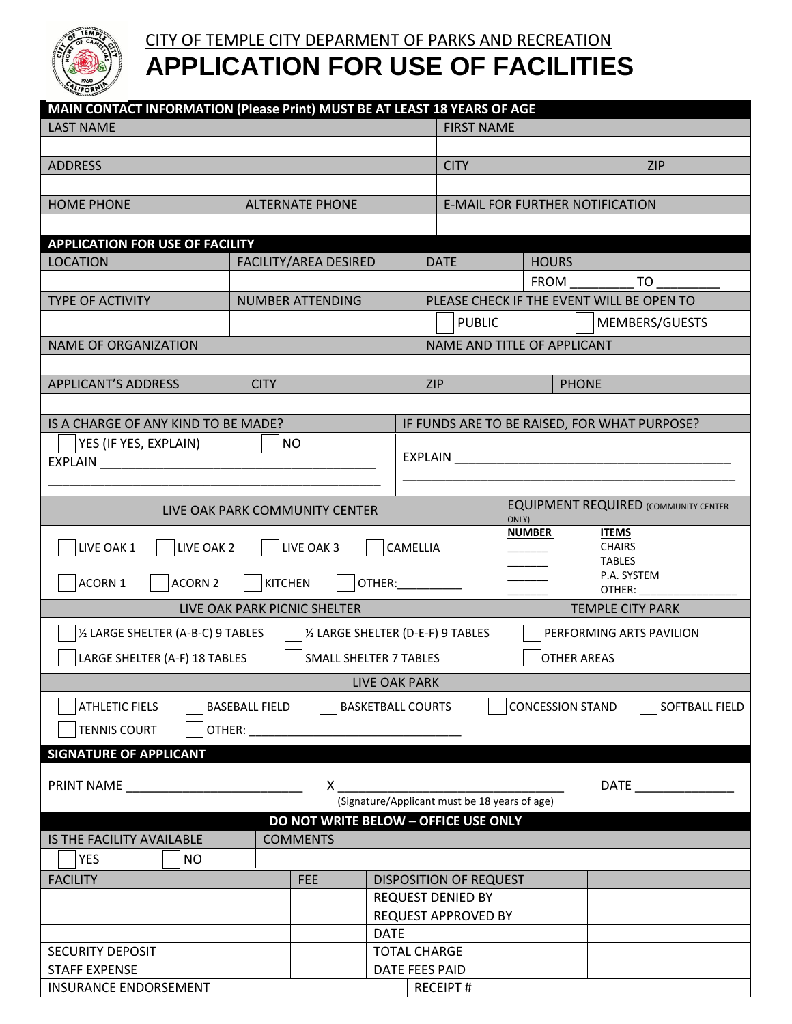

# CITY OF TEMPLE CITY DEPARMENT OF PARKS AND RECREATION **APPLICATION FOR USE OF FACILITIES**

| MAIN CONTACT INFORMATION (Please Print) MUST BE AT LEAST 18 YEARS OF AGE                                                       |                              |                 |                                                                                                                |                                               |                                        |                                           |  |
|--------------------------------------------------------------------------------------------------------------------------------|------------------------------|-----------------|----------------------------------------------------------------------------------------------------------------|-----------------------------------------------|----------------------------------------|-------------------------------------------|--|
| <b>LAST NAME</b>                                                                                                               |                              |                 |                                                                                                                | <b>FIRST NAME</b>                             |                                        |                                           |  |
|                                                                                                                                |                              |                 |                                                                                                                |                                               |                                        |                                           |  |
| <b>ADDRESS</b>                                                                                                                 |                              |                 |                                                                                                                | <b>CITY</b>                                   |                                        | <b>ZIP</b>                                |  |
|                                                                                                                                |                              |                 |                                                                                                                |                                               |                                        |                                           |  |
| <b>HOME PHONE</b>                                                                                                              | <b>ALTERNATE PHONE</b>       |                 |                                                                                                                |                                               | <b>E-MAIL FOR FURTHER NOTIFICATION</b> |                                           |  |
|                                                                                                                                |                              |                 |                                                                                                                |                                               |                                        |                                           |  |
| <b>APPLICATION FOR USE OF FACILITY</b>                                                                                         |                              |                 |                                                                                                                |                                               |                                        |                                           |  |
| <b>LOCATION</b>                                                                                                                | <b>FACILITY/AREA DESIRED</b> |                 |                                                                                                                | <b>DATE</b>                                   | <b>HOURS</b>                           |                                           |  |
|                                                                                                                                |                              |                 |                                                                                                                | FROM                                          |                                        | <b>Example TO</b>                         |  |
| TYPE OF ACTIVITY<br><b>NUMBER ATTENDING</b>                                                                                    |                              |                 |                                                                                                                |                                               |                                        | PLEASE CHECK IF THE EVENT WILL BE OPEN TO |  |
|                                                                                                                                |                              |                 |                                                                                                                | <b>PUBLIC</b><br>MEMBERS/GUESTS               |                                        |                                           |  |
| <b>NAME OF ORGANIZATION</b>                                                                                                    |                              |                 |                                                                                                                | NAME AND TITLE OF APPLICANT                   |                                        |                                           |  |
|                                                                                                                                |                              |                 |                                                                                                                |                                               |                                        |                                           |  |
| <b>APPLICANT'S ADDRESS</b><br><b>CITY</b>                                                                                      |                              |                 |                                                                                                                | <b>ZIP</b>                                    |                                        | <b>PHONE</b>                              |  |
|                                                                                                                                |                              |                 |                                                                                                                |                                               |                                        |                                           |  |
| IS A CHARGE OF ANY KIND TO BE MADE?                                                                                            |                              |                 |                                                                                                                | IF FUNDS ARE TO BE RAISED, FOR WHAT PURPOSE?  |                                        |                                           |  |
| YES (IF YES, EXPLAIN)<br><b>NO</b>                                                                                             |                              |                 |                                                                                                                |                                               |                                        |                                           |  |
| EXPLAIN <b>EXPLAIN</b>                                                                                                         |                              |                 | EXPLAIN THE TEXT OF THE TEXT OF THE TEXT OF THE TEXT OF THE TEXT OF THE TEXT OF THE TEXT OF THE TEXT OF THE TE |                                               |                                        |                                           |  |
|                                                                                                                                |                              |                 |                                                                                                                |                                               |                                        |                                           |  |
|                                                                                                                                |                              |                 |                                                                                                                | <b>EQUIPMENT REQUIRED (COMMUNITY CENTER</b>   |                                        |                                           |  |
| LIVE OAK PARK COMMUNITY CENTER                                                                                                 |                              |                 |                                                                                                                | ONLY)                                         |                                        |                                           |  |
| LIVE OAK 3<br>LIVE OAK 1<br>LIVE OAK 2                                                                                         |                              |                 |                                                                                                                |                                               | <b>NUMBER</b>                          | <b>ITEMS</b><br><b>CHAIRS</b>             |  |
|                                                                                                                                |                              |                 |                                                                                                                | CAMELLIA<br><b>TABLES</b>                     |                                        |                                           |  |
| ACORN 1<br><b>ACORN 2</b><br><b>KITCHEN</b><br>OTHER: WILLIAM                                                                  |                              |                 |                                                                                                                | P.A. SYSTEM                                   |                                        |                                           |  |
|                                                                                                                                |                              |                 |                                                                                                                | OTHER:                                        |                                        |                                           |  |
| LIVE OAK PARK PICNIC SHELTER                                                                                                   |                              |                 |                                                                                                                | <b>TEMPLE CITY PARK</b>                       |                                        |                                           |  |
| 1/2 LARGE SHELTER (A-B-C) 9 TABLES<br>1/2 LARGE SHELTER (D-E-F) 9 TABLES                                                       |                              |                 |                                                                                                                | PERFORMING ARTS PAVILION                      |                                        |                                           |  |
| LARGE SHELTER (A-F) 18 TABLES<br><b>SMALL SHELTER 7 TABLES</b>                                                                 |                              |                 |                                                                                                                | <b>OTHER AREAS</b>                            |                                        |                                           |  |
| LIVE OAK PARK                                                                                                                  |                              |                 |                                                                                                                |                                               |                                        |                                           |  |
|                                                                                                                                |                              |                 |                                                                                                                |                                               |                                        |                                           |  |
| <b>CONCESSION STAND</b><br><b>ATHLETIC FIELS</b><br><b>BASEBALL FIELD</b><br><b>BASKETBALL COURTS</b><br><b>SOFTBALL FIELD</b> |                              |                 |                                                                                                                |                                               |                                        |                                           |  |
| <b>TENNIS COURT</b><br>OTHER:                                                                                                  |                              |                 |                                                                                                                |                                               |                                        |                                           |  |
| <b>SIGNATURE OF APPLICANT</b>                                                                                                  |                              |                 |                                                                                                                |                                               |                                        |                                           |  |
|                                                                                                                                |                              |                 |                                                                                                                |                                               |                                        |                                           |  |
| <b>PRINT NAME</b><br>X.                                                                                                        |                              |                 |                                                                                                                | (Signature/Applicant must be 18 years of age) |                                        |                                           |  |
| DO NOT WRITE BELOW - OFFICE USE ONLY                                                                                           |                              |                 |                                                                                                                |                                               |                                        |                                           |  |
| <b>IS THE FACILITY AVAILABLE</b>                                                                                               |                              | <b>COMMENTS</b> |                                                                                                                |                                               |                                        |                                           |  |
| <b>YES</b><br><b>NO</b>                                                                                                        |                              |                 |                                                                                                                |                                               |                                        |                                           |  |
| <b>FACILITY</b>                                                                                                                |                              | <b>FEE</b>      |                                                                                                                | <b>DISPOSITION OF REQUEST</b>                 |                                        |                                           |  |
|                                                                                                                                |                              |                 | REQUEST DENIED BY                                                                                              |                                               |                                        |                                           |  |
|                                                                                                                                |                              |                 | <b>REQUEST APPROVED BY</b>                                                                                     |                                               |                                        |                                           |  |
|                                                                                                                                |                              | <b>DATE</b>     |                                                                                                                |                                               |                                        |                                           |  |
| <b>SECURITY DEPOSIT</b>                                                                                                        |                              |                 | <b>TOTAL CHARGE</b>                                                                                            |                                               |                                        |                                           |  |
| <b>STAFF EXPENSE</b>                                                                                                           |                              |                 | DATE FEES PAID                                                                                                 |                                               |                                        |                                           |  |
| <b>INSURANCE ENDORSEMENT</b>                                                                                                   |                              |                 | <b>RECEIPT#</b>                                                                                                |                                               |                                        |                                           |  |